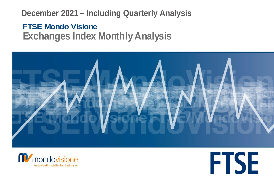# **December 2021 – Including Quarterly Analysis**

# **FTSE Mondo Visione Exchanges Index Monthly Analysis**





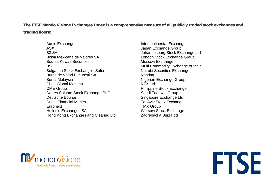**The FTSE Mondo Visione Exchanges Index is a comprehensive measure of all publicly traded stock exchanges and trading floors:**

> Aquis Exchange **Intercontinental Exchange** ASX ASX B3 SA Johannesburg Stock Exchange Ltd Bolsa Mexicana de Valores SA London Stock Exchange Group Boursa Kuwait Securities<br>
> BSE Multi Commodity Exchange<br>
> Multi Commodity Expansion of the Multi Commodity Expansion of the Multi Commodity Expansion of the Multi Commodity Expansion of the Multi Security of the Multi Commod Bulgarian Stock Exchange - Sofia Nairobi Securities Exchange Bursa de Valori Bucuresti SA Nasdaq Bursa Malaysia Nigerian Exchange Group Choe Global Markets NZX Ltd **CME Group CME Group CME Group** Dar es Salaam Stock Exchange PLC Saudi Tadawul Group Deutsche Bourse **Singapore Exchange Ltd** Dubai Financial Market Tel Aviv Stock Exchange Euronext **TMX** Group Hellenic Exchanges SA Warsaw Stock Exchange Hong Kong Exchanges and Clearing Ltd Zagrebacka Burza dd

**Multi Commodity Exchange of India** 



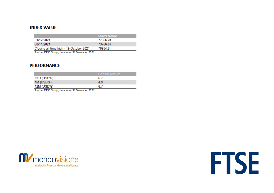# **INDEX VALUE**

| <b>Index Value</b> |
|--------------------|
| 77366.24           |
| 73766.67           |
| 78934.8            |
|                    |

Source: FTSE Group, data as at 31 December 2021

## **PERFORMANCE**

|            | <b>Capital Return</b> |
|------------|-----------------------|
| YTD (USD%) | 6.7                   |
| 1M (USD%)  | 4.9                   |
| 12M (USD%) | 6.7                   |

Source: FTSE Group, data as at 31 December 2021



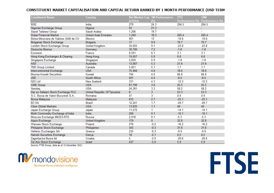### CONSTITUENT MARKET CAPITALISATION AND CAPITAL RETURN RANKED BY 1 MONTH PERFORMANCE (USD TERM

| <b>Constituent Name</b>             | Country                     |        | Net Market Cap 1M Performance | YTD             | <b>12M</b>               |
|-------------------------------------|-----------------------------|--------|-------------------------------|-----------------|--------------------------|
|                                     |                             | (USDm) | (%)                           | Performance (%) | Performance (%)          |
| <b>BSE</b>                          | India                       | 279    | 24.3                          | 204.5           | 204.5                    |
| Nigerian Exchange Group             | Nigeria                     | 93     | 21.3                          | ÷.              | $\overline{\phantom{a}}$ |
| Saudi Tadawul Group                 | Saudi Arabia                | 1.206  | 19.7                          |                 |                          |
| Dubai Financial Market              | <b>United Arab Emirates</b> | 1,249  | 18.3                          | 205.4           | 205.4                    |
| Bolsa Mexicana de Valores SAB de CV | Mexico                      | 901    | 13                            | $-19.6$         | $-19.6$                  |
| <b>Bulgarian Stock Exchange</b>     | <b>Bulgaria</b>             | 17     | 9.6                           | 70.7            | 70.7                     |
| London Stock Exchange Group         | <b>United Kingdom</b>       | 34,055 | 9.1                           | $-23.8$         | $-23.8$                  |
| Deutsche Boerse                     | Germany                     | 30,700 | 7.2                           | $-1.8$          | $-1.8$                   |
| Euronext                            | France                      | 8,501  | 6.1                           | 3.1             | 3.1                      |
| Hong Kong Exchanges & Clearing      | Hong Kong                   | 74,057 | 5.9                           | 6.6             | 6.6                      |
| Singapore Exchange                  | Singapore                   | 5,659  | 5.9                           | $-1.8$          | $-1.8$                   |
| <b>ASX</b>                          | Australia                   | 13,067 | 5.3                           | 21.6            | 21.6                     |
| <b>TMX Group Limited</b>            | Canada                      | 5,651  | 5.1                           | 1.7             | 1.7                      |
| Intercontinental Exchange           | <b>USA</b>                  | 75.946 | 4.6                           | 18.6            | 18.6                     |
| <b>Boursa Kuwait Securities</b>     | Kuwait                      | 744    | 4.6                           | 84.8            | 84.8                     |
| <b>JSE</b>                          | South Africa                | 581    | 4.4                           | $-8.4$          | $-8.4$                   |
| <b>NZX Ltd</b>                      | New Zealand                 | 331    | 4.3                           | $-12.2$         | $-12.2$                  |
| <b>CME Group</b>                    | <b>USA</b>                  | 81,790 | 3.6                           | 25.5            | 25.5                     |
| Nasdaq                              | <b>USA</b>                  | 24,381 | 3.3                           | 58.2            | 58.2                     |
| Dar es Salaam Stock Exchange PLC    | United Republic Of Tanzania | 8      | 3                             | 53.3            | 53.3                     |
| S.C. Bursa de Valori Bucuresti S.A. | Romania                     | 47     | 3                             | 0.9             | 0.9                      |
| Bursa Malaysia                      | Malaysia                    | 815    | 2.7                           | $-23.1$         | $-23.1$                  |
| B <sub>3</sub> SA                   | <b>Brazil</b>               | 12,241 | 1.7                           | $-49.7$         | $-49.7$                  |
| <b>Cboe Global Markets</b>          | <b>USA</b>                  | 13,835 | 1.1                           | 40              | 40                       |
| Japan Exchange Group                | Japan                       | 11,572 | 1                             | $-14.1$         | $-14.1$                  |
| Multi Commodity Exchange of India   | India                       | 206    | 0.1                           | $-10.1$         | $-10.1$                  |
| Moscow Exchange MICEX-RTS           | Russia                      | 2,918  | 0.1                           | $-5.3$          | $-5.3$                   |
| Aquis Exchange                      | <b>United Kingdom</b>       | 179    | $\mathbf{0}$                  | 32.8            | 32.8                     |
| Warsaw Stock Exchange               | Poland                      | 276    | $-0.2$                        | $-16.2$         | $-16.2$                  |
| Philippine Stock Exchange           | Philippines                 | 345    | $-0.3$                        | 31.6            | 31.6                     |
| <b>Hellenic Exchanges SA</b>        | Greece                      | 235    | $-0.3$                        | $-9.9$          | $-9.9$                   |
| Nairobi Securities Exchange         | Kenya                       | 18     | $-2.1$                        | 0.5             | 0.5                      |
| Zagrebacka Burza dd                 | Croatia                     | 5      | $-2.9$                        | $-29.6$         | $-29.6$                  |
| Tel Aviv Stock Exchange             | Israel                      | 437    | $-5.6$                        | 5.9             | 5.9                      |

Source: FTSE Group, data as at 31 December 2021

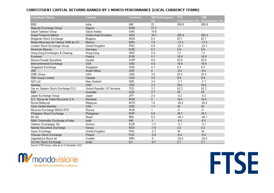## CONSTITUENT CAPITAL RETURNS RANKED BY 1 MONTH PERFORMANCE (LOCAL CURRENCY TERMS)

| <b>Constituent Name</b>             | Country                     | Currency   | 1M Performance | YTD             | <b>12M</b>      |
|-------------------------------------|-----------------------------|------------|----------------|-----------------|-----------------|
|                                     |                             |            | $(\%)$         | Performance (%) | Performance (%) |
| <b>BSE</b>                          | India                       | <b>INR</b> | 23             | 209.8           | 209.8           |
| Nigerian Exchange Group             | Nigeria                     | <b>NGN</b> | 21.3           | ÷               | $\blacksquare$  |
| Saudi Tadawul Group                 | Saudi Arabia                | <b>SAR</b> | 19.8           |                 |                 |
| Dubai Financial Market              | <b>United Arab Emirates</b> | <b>AED</b> | 18.3           | 205.4           | 205.4           |
| <b>Bulgarian Stock Exchange</b>     | Bulgaria                    | <b>BGN</b> | 8.4            | 83.7            | 83.7            |
| Bolsa Mexicana de Valores SAB de CV | <b>Mexico</b>               | <b>MXN</b> | 7.6            | $-17.5$         | $-17.5$         |
| London Stock Exchange Group         | <b>United Kingdom</b>       | <b>PNC</b> | 6.6            | $-23.1$         | $-23.1$         |
| Deutsche Boerse                     | Germany                     | <b>EUR</b> | 6.1            | 5.6             | 5.6             |
| Hong Kong Exchanges & Clearing      | <b>Hong Kong</b>            | <b>HKD</b> | 5.9            | 7.2             | 7.2             |
| Euronext                            | France                      | <b>EUR</b> | 5.1            | 10.9            | 10.9            |
| <b>Boursa Kuwait Securities</b>     | Kuwait                      | <b>KWF</b> | 4.6            | 83.6            | 83.6            |
| Intercontinental Exchange           | <b>USA</b>                  | <b>USD</b> | 4.6            | 18.6            | 18.6            |
| Singapore Exchange                  | Singapore                   | <b>SGD</b> | 4.1            | 0.2             | 0.2             |
| <b>JSE</b>                          | South Africa                | <b>ZAR</b> | 4              | $-0.4$          | $-0.4$          |
| <b>CME Group</b>                    | <b>USA</b>                  | <b>USD</b> | 3.6            | 25.5            | 25.5            |
| <b>TMX Group Limited</b>            | Canada                      | CAD        | 3.5            | 0.9             | 0.9             |
| <b>NZX Ltd</b>                      | New Zealand                 | <b>NZD</b> | 3.4            | $-7.7$          | $-7.7$          |
| Nasdag                              | <b>USA</b>                  | <b>USD</b> | 3.3            | 58.2            | 58.2            |
| Dar es Salaam Stock Exchange PLC    | United Republic Of Tanzania | <b>TZS</b> | 3.1            | 52.3            | 52.3            |
| <b>ASX</b>                          | Australia                   | <b>AUD</b> | 2.7            | 29              | 29              |
| Japan Exchange Group                | Japan                       | <b>JPY</b> | 2.4            | $-4.2$          | $-4.2$          |
| S.C. Bursa de Valori Bucuresti S.A. | Romania                     | <b>RON</b> | 2 <sup>1</sup> | 10.4            | 10.4            |
| Bursa Malaysia                      | Malaysia                    | <b>MYR</b> | 1.6            | $-20.4$         | $-20.4$         |
| <b>Cboe Global Markets</b>          | <b>USA</b>                  | <b>USD</b> | 1.1            | 40              | 40              |
| Moscow Exchange MICEX-RTS           | Russia                      | <b>RUB</b> | 1              | $-4$            | $-4$            |
| Philippine Stock Exchange           | Philippines                 | <b>PHP</b> | 0.9            | 39.7            | 39.7            |
| B <sub>3</sub> SA                   | <b>Brazil</b>               | <b>BRL</b> | 0.3            | $-46.1$         | $-46.1$         |
| Multi Commodity Exchange of India   | India                       | <b>INR</b> | $-1$           | $-8.5$          | $-8.5$          |
| <b>Hellenic Exchanges SA</b>        | Greece                      | <b>EUR</b> | $-1.3$         | $-3.1$          | $-3.1$          |
| Nairobi Securities Exchange         | Kenya                       | <b>KES</b> | $-1.6$         | 4.2             | 4.2             |
| Aquis Exchange                      | <b>United Kingdom</b>       | <b>PNC</b> | $-2.3$         | 34              | 34              |
| Warsaw Stock Exchange               | Poland                      | <b>PLN</b> | $-2.8$         | $-9.4$          | $-9.4$          |
| Zagrebacka Burza dd                 | Croatia                     | <b>HRK</b> | $-4$           | $-24.5$         | $-24.5$         |
| Tel Aviv Stock Exchange             | Israel                      | <b>ILX</b> | $-6.7$         | 2.7             | 2.7             |

Source: FTSE Group, data as at 31 December 2021

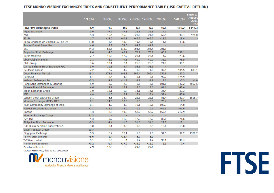#### FTSE MONDO VISIONE EXCHANGES INDEX AND CONSTITUENT PERFORMANCE TABLE (USD CAPITAL RETURN)

|                                     |        |         |         |         |                                |                          |         | Since 17                     |
|-------------------------------------|--------|---------|---------|---------|--------------------------------|--------------------------|---------|------------------------------|
|                                     | 1M (%) | 3M (%)  |         |         | 6M (%) YTD (%) 12M (%) 3YR (%) |                          | 5YR (%) | <b>August</b><br>2001<br>(%) |
| <b>FTSE/MV Exchanges Index</b>      | 4.9    | 4.9     | 0.9     | 6.7     | 6.7                            | 56.6                     | 110.2   | 1447.3                       |
| Aquis Exchange                      | 0.0    | $-7.6$  | $-7.1$  | 32.8    | 32.8                           | 17.0                     |         |                              |
| <b>ASX</b>                          | 5.3    | 15.4    | 15.8    | 21.6    | 21.6                           | 62.5                     | 90.4    | 921.0                        |
| B <sub>3</sub> SA                   | 1.7    | $-14.5$ | $-40.3$ | $-49.7$ | $-49.7$                        | $-13.3$                  | 18.4    |                              |
| Bolsa Mexicana de Valores SAB de CV | 13.0   | $-1.6$  | $-13.8$ | $-19.6$ | $-19.6$                        | 11.8                     | 43.6    |                              |
| <b>Boursa Kuwait Securities</b>     | 4.6    | 9.2     | 58.6    | 84.8    | 84.8                           |                          |         |                              |
| <b>BSE</b>                          | 24.3   | 55.6    | 113.0   | 204.5   | 204.5                          | 201.1                    | ÷       |                              |
| <b>Bulgarian Stock Exchange</b>     | 9.6    | $-4.0$  | 42.7    | 70.7    | 70.7                           | 65.8                     | 238.1   |                              |
| Bursa Malaysia                      | 2.7    | $-10.8$ | $-17.7$ | $-23.1$ | $-23.1$                        | $-4.2$                   | 23.6    |                              |
| <b>Cboe Global Markets</b>          | 1.1    | 5.3     | 9.5     | 40.0    | 40.0                           | 33.3                     | 76.5    |                              |
| <b>CME Group</b>                    | 3.6    | 18.1    | 7.4     | 25.5    | 25.5                           | 21.4                     | 98.1    |                              |
| Dar es Salaam Stock Exchange PLC    | 3.0    | 11.8    | 3.7     | 53.3    | 53.3                           | $\overline{\phantom{a}}$ | ÷,      |                              |
| Deutsche Boerse                     | 7.2    | 2.7     | $-4.2$  | $-1.8$  | $-1.8$                         | 39.4                     | 104.5   | 833.1                        |
| Dubai Financial Market              | 18.3   | 173.1   | 144.8   | 205.4   | 205.4                          | 256.8                    | 127.2   |                              |
| Euronext                            | 6.1    | $-8.4$  | $-4.6$  | 3.1     | 3.1                            | 97.7                     | 174.9   |                              |
| <b>Hellenic Exchanges SA</b>        | $-0.3$ | 4.9     | $-11.7$ | $-9.9$  | $-9.9$                         | 7.0                      | $-5.3$  | $-1.0$                       |
| Hong Kong Exchanges & Clearing      | 5.9    | $-5.2$  | $-2.0$  | 6.6     | 6.6                            | 101.8                    | 147.2   | 4057.5                       |
| Intercontinental Exchange           | 4.6    | 19.1    | 15.2    | 18.6    | 18.6                           | 81.6                     | 142.4   |                              |
| Japan Exchange Group                | 1.0    | $-12.1$ | $-1.7$  | $-14.1$ | $-14.1$                        | 35.4                     | 53.3    |                              |
| <b>JSE</b>                          | 4.4    | 1.0     | $-5.7$  | $-8.4$  | $-8.4$                         | $-37.4$                  | $-40.0$ |                              |
| London Stock Exchange Group         | 9.1    | $-6.6$  | $-14.7$ | $-23.8$ | $-23.8$                        | 81.4                     | 160.7   | 1818.7                       |
| Moscow Exchange MICEX-RTS           | 0.1    | $-14.5$ | $-12.6$ | $-5.3$  | $-5.3$                         | 76.4                     | $-0.7$  |                              |
| Multi Commodity Exchange of India   | 0.1    | $-4.7$  | 4.0     | $-10.1$ | $-10.1$                        | 102.3                    | 14.0    |                              |
| Nairobi Securities Exchange         | $-2.1$ | $-12.6$ | $-3.0$  | 0.5     | 0.5                            | $-46.6$                  | $-46.6$ |                              |
| Nasdag                              | 3.3    | 8.8     | 19.5    | 58.2    | 58.2                           | 157.5                    | 212.9   |                              |
| Nigerian Exchange Group             | 21.3   |         |         |         | ÷,                             |                          |         |                              |
| NZX Ltd                             | 4.3    | 5.7     | $-11.3$ | $-12.2$ | $-12.2$                        | 83.0                     | 71.6    |                              |
| Philippine Stock Exchange           | $-0.3$ | $-4.4$  | $-1.5$  | 31.6    | 31.6                           | 23.2                     | $-12.1$ |                              |
| S.C. Bursa de Valori Bucuresti S.A. | 3.0    | 0.1     | $-3.8$  | 0.9     | 0.9                            | 13.6                     | $-13.0$ |                              |
| Saudi Tadawul Group                 | 19.7   | ÷,      | ä,      | ä,      | u,                             |                          |         |                              |
| Singapore Exchange                  | 5.9    | $-6.2$  | $-17.1$ | $-1.8$  | $-1.8$                         | 31.5                     | 39.2    | 1328.2                       |
| Tel Aviv Stock Exchange             | $-5.6$ | 1.4     | $-12.7$ | 5.9     | 5.9                            |                          |         |                              |
| <b>TMX Group Limited</b>            | 5.1    | $-5.8$  | $-4$    | 1.7     | 1.7                            | 96.1                     | 90.4    |                              |
| Warsaw Stock Exchange               | $-0.2$ | $-1.7$  | $-17.9$ | $-16.2$ | $-16.2$                        | 5.3                      | 7.4     |                              |
| Zagrebacka Burza dd                 | $-2.9$ | $-12.5$ | $-15$   | $-29.6$ | $-29.6$                        |                          |         |                              |

Source: FTSE Group, data as at 31 December

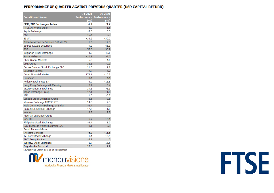#### PERFORMANCE OF QUARTER AGAINST PREVIOUS QUARTER (USD CAPITAL RETURN)

|                                                   | Q4 2021       | Q3 2021                 |
|---------------------------------------------------|---------------|-------------------------|
| <b>Constituent Name</b>                           |               | Performance Performance |
|                                                   | (9/6)         | (%)                     |
| <b>FTSE/MV Exchanges Index</b>                    | 4.9           | -3.7                    |
| FTSE All-World Index                              | 6.3           | $-1.5$                  |
| Aquis Exchange                                    | $-7.6$        | 0.5                     |
| <b>ASX</b>                                        | 15.4          | 0.3                     |
| <b>B3 SA</b>                                      | $-14.5$       | $-30.2$                 |
| Bolsa Mexicana de Valores SAB de CV               | $-1.6$        | $-12.3$                 |
| <b>Boursa Kuwait Securities</b>                   | 9.2           | 45.1                    |
| <b>BSE</b>                                        | 55.6          | 36.9                    |
| <b>Bulgarian Stock Exchange</b>                   | $-4.0$        | 48.6                    |
| <b>Bursa Malavsia</b>                             | $-10.8$       | $-7.7$                  |
| <b>Cboe Global Markets</b>                        | 5.3           | 4.0                     |
| <b>CME Group</b>                                  | 18.1          | $-9.1$                  |
| Dar es Salaam Stock Exchange PLC                  | 11.8          | $-7.2$                  |
| Deutsche Boerse                                   | 2.7           | $-6.7$                  |
| Dubai Financial Market                            | 173.1         | $-10.3$                 |
| Euronext                                          | $-8.4$        | 4.1                     |
| Hellenic Exchanges SA                             | 4.9           | $-15.8$                 |
| Hong Kong Exchanges & Clearing                    | $-5.2$        | 3.4                     |
| <b>Intercontinental Exchange</b>                  | 19.1          | $-3.3$                  |
| Japan Exchange Group                              | $-12.1$       | 11.8                    |
| <b>JSE</b>                                        | 1.0           | $-6.7$                  |
| London Stock Exchange Group                       | $-6.6$        | $-8.8$                  |
| Moscow Exchange MICEX-RTS                         | $-14.5$       | 2.3                     |
| Multi Commodity Exchange of India                 | $-4.7$        | 9.2                     |
| Nairobi Securities Exchange                       | $-12.6$       | 11.0                    |
| Nasdag                                            | 8.8           | 9.8                     |
| Nigerian Exchange Group                           |               |                         |
| NZX Ltd                                           | 5.7           | $-16.1$                 |
| Philippine Stock Exchange                         | $-4.4$        | 3.0                     |
| S.C. Bursa de Valori Bucuresti S.A.               | 0.1           | $-3.9$                  |
| Saudi Tadawul Group                               |               |                         |
| Singapore Exchange                                | $-6.2$<br>1.4 | $-11.6$<br>$-13.9$      |
| Tel Aviv Stock Exchange                           | $-5.8$        | $\overline{2}$          |
| <b>TMX Group Limited</b><br>Warsaw Stock Exchange | $-1.7$        | $-16.5$                 |
| Zagrebacka Burza dd                               | $-12.5$       | $-2.9$                  |
|                                                   |               |                         |

Source: FTSE Group, data as at 31 December

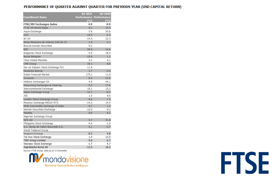### PERFORMANCE OF QUARTER AGAINST QUARTER FOR PREVIOUS YEAR (USD CAPITAL RETURN)

|                                     | 04 2021           | Q4 2020                 |
|-------------------------------------|-------------------|-------------------------|
| Constituent Name                    |                   | Performance Performance |
|                                     | (9/6)             | ( %)                    |
| <b>FTSE/MV Exchanges Index</b>      | 4.9               | 8.9                     |
| FTSE All-World Index                | 6.3               | 14.3                    |
| Aquis Exchange                      | $-7.6$            | 30.8                    |
| <b>ASX</b>                          | 15.4              | $-4.3$                  |
| B <sub>3</sub> SA                   | $-14.5$           | 22.3                    |
| Bolsa Mexicana de Valores SAB de CV | $-1.6$            | 4.3                     |
| <b>Boursa Kuwait Securities</b>     | 9.2               |                         |
| <b>BSE</b>                          | 55.6              | 14.6                    |
| <b>Bulgarian Stock Exchange</b>     | $-4.0$            | 18.4                    |
| <b>Bursa Malaysia</b>               | $-10.8$           | 1.1                     |
| <b>Cboe Global Markets</b>          | 5.3               | 6.1                     |
| <b>CME Group</b>                    | 18.1              | 8.8                     |
| Dar es Salaam Stock Exchange PLC    | 11.8              |                         |
| Deutsche Boerse                     | 2.7               | $-3.0$                  |
| <b>Dubai Financial Market</b>       | 173.1             | 11.0                    |
| Euronext                            | $-8.4$            | $-12.0$                 |
| <b>Hellenic Exchanges SA</b>        | 4.9               | 44.1                    |
| Hong Kong Exchanges & Clearing      | $-5.2$            | 17.4                    |
| <b>Intercontinental Exchange</b>    | 19.1              | 15.2                    |
| Japan Exchange Group                | $-12.1$           | $-8.2$                  |
| 1SF                                 | 1.0               | 9.0                     |
| London Stock Exchange Group         | $-6.6$            | 7.3                     |
| Moscow Exchange MICEX-RTS           | $-14.5$           | 14.4                    |
| Multi Commodity Exchange of India   | $-4.7$            | 1.4                     |
| Nairobi Securities Exchange         | $-12.6$           | $-6.2$                  |
| Nasdag                              | 8.8               | 8.2                     |
| Nigerian Exchange Group             |                   |                         |
| <b>NZX Ltd</b>                      | 5.7               | 31.8                    |
| Philippine Stock Exchange           | $-4.4$            | $-1.0$                  |
| S.C. Bursa de Valori Bucuresti S.A. | 0.1               | $-2.7$                  |
| Saudi Tadawul Group                 |                   |                         |
| Singapore Exchange                  | $-6.2$            | 4.8                     |
| Tel Aviv Stock Exchange             | 1.4               | 13.5                    |
| <b>TMX Group Limited</b>            | $-5.8$            | $-2.7$                  |
| Warsaw Stock Exchange               | $-1.7$<br>$-12.5$ | 4.7<br>16.2             |
| Zagrebacka Burza dd                 |                   |                         |

Source: FTSE Group, data as at 31 December

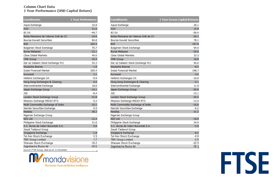#### **Column Chart Data** 1 Year Performance (USD Capital Return)

| Constituents                                        | <b>1 Year Performance</b> |
|-----------------------------------------------------|---------------------------|
| Aquis Exchange                                      | 32.8                      |
| <b>ASX</b>                                          | 21.6                      |
| <b>B3 SA</b>                                        | $-49.7$                   |
| Bolsa Mexicana de Valores SAB de CV                 | $-19.6$                   |
| <b>Boursa Kuwait Securities</b>                     | 84.8                      |
| <b>BSE</b>                                          | 204.5                     |
| Bulgarian Stock Exchange                            | 70.7                      |
| <b>Bursa Malaysia</b>                               | $-23.1$                   |
| <b>Choe Global Markets</b>                          | 40.0                      |
| <b>CME Group</b>                                    | 25.5                      |
| Dar es Salaam Stock Exchange PLC                    | 53.3                      |
| Deutsche Boerse                                     | $-1.8$                    |
| Dubai Financial Market                              | 205.4                     |
| Euronext                                            | 3.1                       |
| Hellenic Exchanges SA                               | $-9.9$                    |
| Hong Kong Exchanges & Clearing                      | 6.6                       |
| <b>Intercontinental Exchange</b>                    | 18.6                      |
| Japan Exchange Group                                | $-14.1$                   |
| <b>ISE</b>                                          | $-8.4$                    |
| London Stock Exchange Group                         | $-23.8$                   |
| Moscow Exchange MICEX-RTS                           | $-5.3$                    |
| Multi Commodity Exchange of India                   | $-10.1$                   |
| Nairobi Securities Exchange                         | 0.5                       |
| Nasdag                                              | 58.2                      |
| Nigerian Exchange Group                             |                           |
| <b>NZX Ltd</b>                                      | $-12.2$                   |
| Philippine Stock Exchange                           | 31.6                      |
| S.C. Bursa de Valori Bucuresti S.A.                 | 0.9                       |
| Saudi Tadawul Group                                 |                           |
| Singapore Exchange                                  | $-1.8$<br>59              |
| Tel Aviv Stock Exchange<br><b>TMX Group Limited</b> | 1.7                       |
| Warsaw Stock Exchange                               | $-16.2$                   |
| Zagrebacka Burza dd                                 | $-29.6$                   |
|                                                     |                           |

| Constituents                                      | 1 Year Excess Capital Returns |
|---------------------------------------------------|-------------------------------|
| Aquis Exchange                                    | 26.1                          |
| <b>ASX</b>                                        | 14.9                          |
| <b>B3 SA</b>                                      | $-56.4$                       |
| Bolsa Mexicana de Valores SAB de CV               | $-26.3$                       |
| <b>Boursa Kuwait Securities</b>                   | 78.1                          |
| <b>BSE</b>                                        | 197.8                         |
| <b>Bulgarian Stock Exchange</b>                   | 64.0                          |
| Bursa Malaysia                                    | $-29.8$                       |
| <b>Choe Global Markets</b>                        | 33.3                          |
| <b>CME Group</b>                                  | 18.8                          |
| Dar es Salaam Stock Exchange PLC                  | 46.6                          |
| Deutsche Boerse                                   | $-8.5$                        |
| Dubai Financial Market                            | 198.7                         |
| Euronext                                          | $-3.6$                        |
| Hellenic Exchanges SA                             | $-16.6$                       |
| Hong Kong Exchanges & Clearing                    | $-0.1$                        |
| <b>Intercontinental Exchange</b>                  | 11.9                          |
| Japan Exchange Group                              | $-20.8$                       |
| <b>JSE</b>                                        | $-15.1$                       |
| London Stock Exchange Group                       | $-30.5$                       |
| Moscow Exchange MICEX-RTS                         | $-12.0$                       |
| Multi Commodity Exchange of India                 | $-16.8$                       |
| Nairobi Securities Exchange                       | $-6.2$                        |
| Nasdag                                            | 51.5                          |
| Nigerian Exchange Group                           |                               |
| <b>NZX Ltd</b>                                    | $-18.9$                       |
| Philippine Stock Exchange                         | 24.9                          |
| S.C. Bursa de Valori Bucuresti S.A.               | $-5.8$                        |
| Saudi Tadawul Group                               |                               |
| Singapore Exchange                                | $-8.5$                        |
| <b>Tel Aviv Stock Exchange</b>                    | $-0.8$                        |
| <b>TMX Group Limited</b><br>Warsaw Stock Exchange | $-5.0$<br>$-22.9$             |
| Zagrebacka Burza dd                               | $-36.3.$                      |

Source: FTSE Group, data as at 31 December



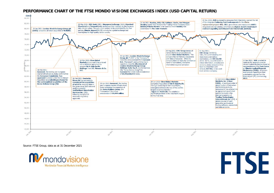## **PERFORMANCE CHART OF THE FTSE MONDO VISIONE EXCHANGES INDEX (USD CAPITAL RETURN)**



Source: FTSE Group, data as at 31 December 2021

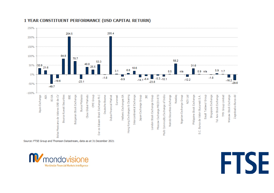

# **1 YEAR CONSTITUENT PERFORMANCE (USD CAPITAL RETURN)**

Source: FTSE Group and Thomson Datastream, data as at 31 December 2021



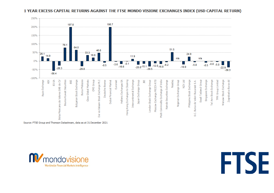

#### 1 YEAR EXCESS CAPITAL RETURNS AGAINST THE FTSE MONDO VISIONE EXCHANGES INDEX (USD CAPITAL RETURN)

Source: FTSE Group and Thomson Datastream, data as at 31 December 2021